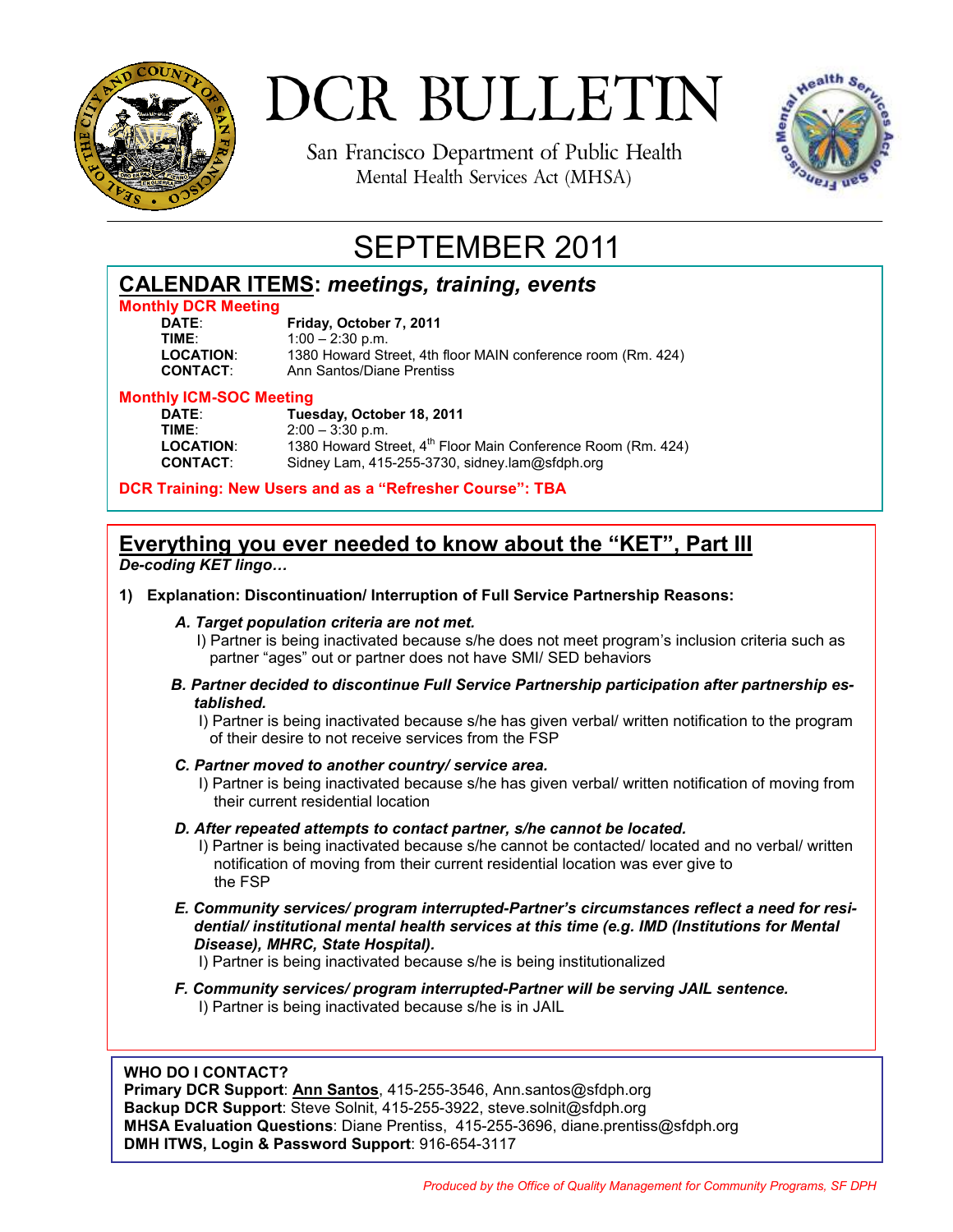

San Francisco Department of Public Health Mental Health Services Act (MHSA)



# SEPTEMBER 2011

## **CALENDAR ITEMS:** *meetings, training, events*

# **Monthly DCR Meeting**

**DATE**: **Friday, October 7, 2011 TIME:** 1:00 – 2:30 p.m.<br>**LOCATION:** 1380 Howard Str **LOCATION**: 1380 Howard Street, 4th floor MAIN conference room (Rm. 424) **Ann Santos/Diane Prentiss** 

#### **Monthly ICM-SOC Meeting**

| DATE:            |
|------------------|
| TIME∶            |
| <b>LOCATION:</b> |
| <b>CONTACT:</b>  |

**DATE**: **Tuesday, October 18, 2011 TIME**: 2:00 – 3:30 p.m. 1380 Howard Street, 4<sup>th</sup> Floor Main Conference Room (Rm. 424) Sidney Lam, 415-255-3730, sidney.lam@sfdph.org

**DCR Training: New Users and as a "Refresher Course": TBA** 

## **Everything you ever needed to know about the "KET", Part III**

*De-coding KET lingo…*

**1) Explanation: Discontinuation/ Interruption of Full Service Partnership Reasons:** 

## *A. Target population criteria are not met.*

- I) Partner is being inactivated because s/he does not meet program's inclusion criteria such as partner "ages" out or partner does not have SMI/ SED behaviors
- *B. Partner decided to discontinue Full Service Partnership participation after partnership established.*
	- I) Partner is being inactivated because s/he has given verbal/ written notification to the program of their desire to not receive services from the FSP

## *C. Partner moved to another country/ service area.*

 I) Partner is being inactivated because s/he has given verbal/ written notification of moving from their current residential location

## *D. After repeated attempts to contact partner, s/he cannot be located.*

- I) Partner is being inactivated because s/he cannot be contacted/ located and no verbal/ written notification of moving from their current residential location was ever give to the FSP
- *E. Community services/ program interrupted-Partner's circumstances reflect a need for residential/ institutional mental health services at this time (e.g. IMD (Institutions for Mental Disease), MHRC, State Hospital).*
	- I) Partner is being inactivated because s/he is being institutionalized
- *F. Community services/ program interrupted-Partner will be serving JAIL sentence.* I) Partner is being inactivated because s/he is in JAIL

## **WHO DO I CONTACT?**

**Primary DCR Support**: **Ann Santos**, 415-255-3546, Ann.santos@sfdph.org **Backup DCR Support**: Steve Solnit, 415-255-3922, steve.solnit@sfdph.org **MHSA Evaluation Questions**: Diane Prentiss, 415-255-3696, diane.prentiss@sfdph.org **DMH ITWS, Login & Password Support**: 916-654-3117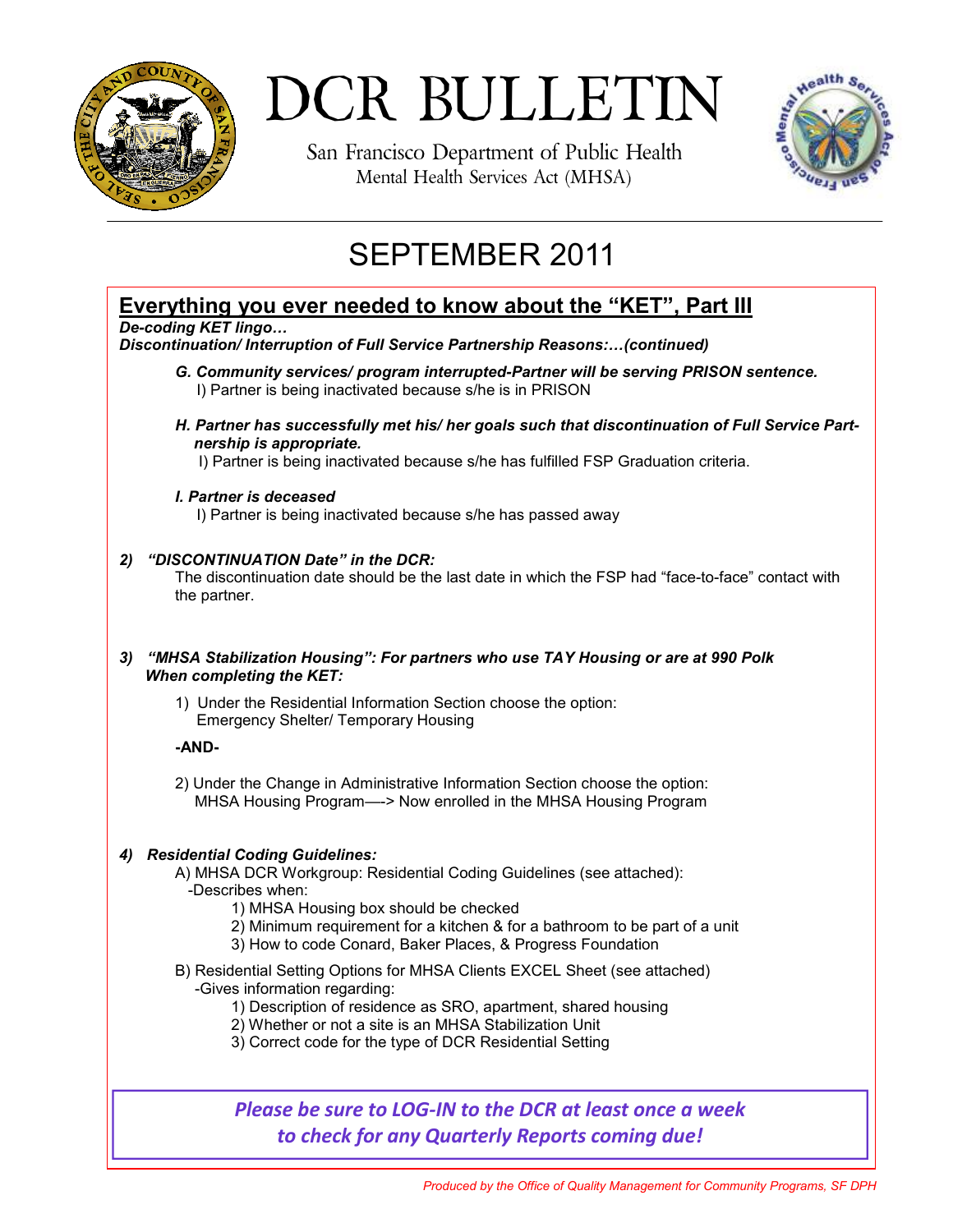

San Francisco Department of Public Health Mental Health Services Act (MHSA)



# SEPTEMBER 2011

## **Everything you ever needed to know about the "KET", Part III**

*De-coding KET lingo…*

*Discontinuation/ Interruption of Full Service Partnership Reasons:…(continued)* 

- *G. Community services/ program interrupted-Partner will be serving PRISON sentence.* I) Partner is being inactivated because s/he is in PRISON
- *H. Partner has successfully met his/ her goals such that discontinuation of Full Service Partnership is appropriate.*

I) Partner is being inactivated because s/he has fulfilled FSP Graduation criteria.

 *I. Partner is deceased*

I) Partner is being inactivated because s/he has passed away

## *2) "DISCONTINUATION Date" in the DCR:*

 The discontinuation date should be the last date in which the FSP had "face-to-face" contact with the partner.

## *3) "MHSA Stabilization Housing": For partners who use TAY Housing or are at 990 Polk When completing the KET:*

1) Under the Residential Information Section choose the option: **Emergency Shelter/ Temporary Housing** 

## **-AND-**

2) Under the Change in Administrative Information Section choose the option: MHSA Housing Program—-> Now enrolled in the MHSA Housing Program

## *4) Residential Coding Guidelines:*

A) MHSA DCR Workgroup: Residential Coding Guidelines (see attached): -Describes when:

- 1) MHSA Housing box should be checked
- 2) Minimum requirement for a kitchen & for a bathroom to be part of a unit
- 3) How to code Conard, Baker Places, & Progress Foundation
- B) Residential Setting Options for MHSA Clients EXCEL Sheet (see attached) -Gives information regarding:
	- 1) Description of residence as SRO, apartment, shared housing
	- 2) Whether or not a site is an MHSA Stabilization Unit
	- 3) Correct code for the type of DCR Residential Setting

*Please be sure to LOG-IN to the DCR at least once a week to check for any Quarterly Reports coming due!*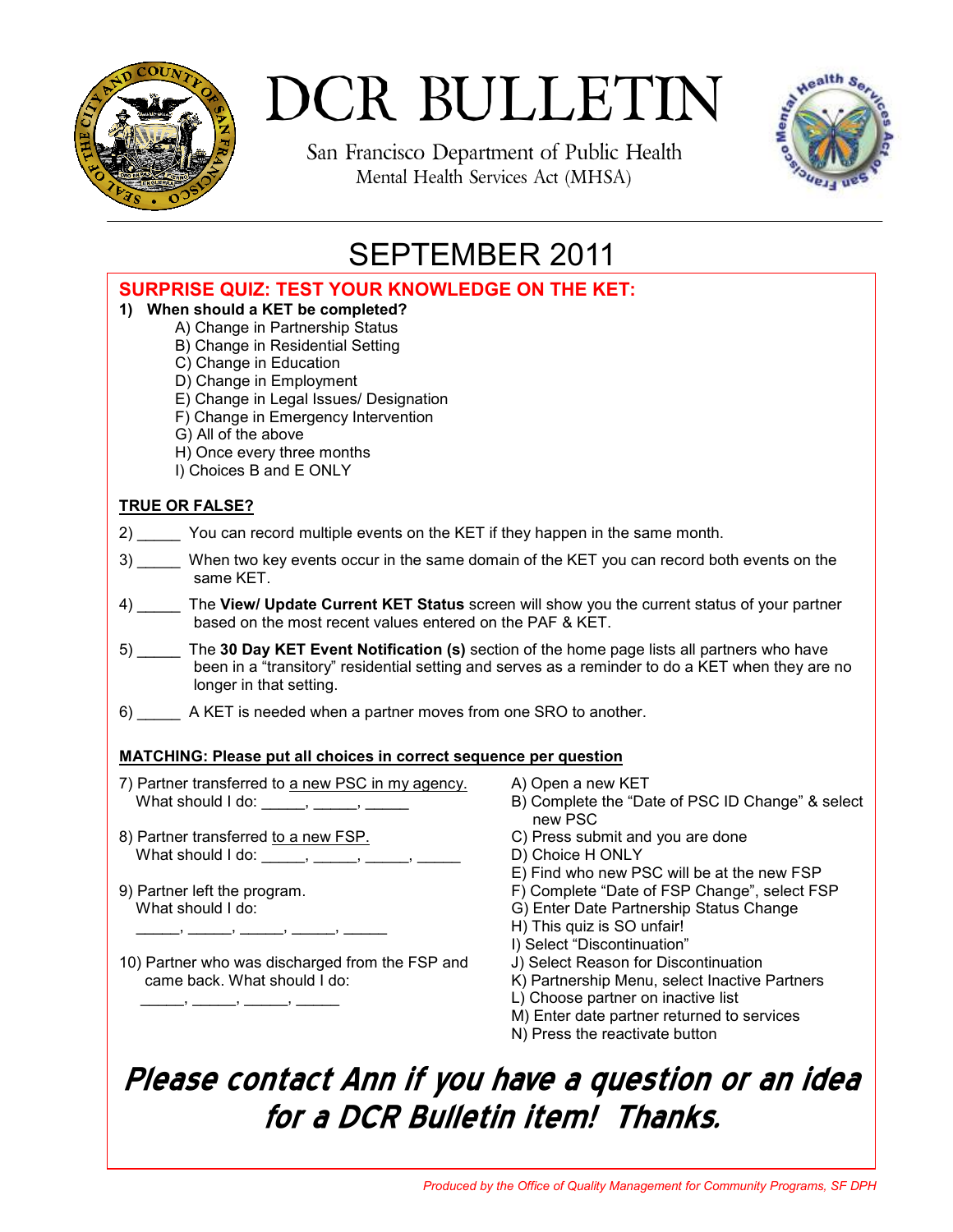

San Francisco Department of Public Health Mental Health Services Act (MHSA)



# SEPTEMBER 2011

| <b>SURPRISE QUIZ: TEST YOUR KNOWLEDGE ON THE KET:</b><br>1) When should a KET be completed?<br>A) Change in Partnership Status<br>B) Change in Residential Setting<br>C) Change in Education<br>D) Change in Employment<br>E) Change in Legal Issues/ Designation<br>F) Change in Emergency Intervention<br>G) All of the above<br>H) Once every three months<br>I) Choices B and E ONLY |                                                                                                                                                                                                                                                                                                                                   |  |  |
|------------------------------------------------------------------------------------------------------------------------------------------------------------------------------------------------------------------------------------------------------------------------------------------------------------------------------------------------------------------------------------------|-----------------------------------------------------------------------------------------------------------------------------------------------------------------------------------------------------------------------------------------------------------------------------------------------------------------------------------|--|--|
| <b>TRUE OR FALSE?</b>                                                                                                                                                                                                                                                                                                                                                                    |                                                                                                                                                                                                                                                                                                                                   |  |  |
| 2) _______ You can record multiple events on the KET if they happen in the same month.                                                                                                                                                                                                                                                                                                   |                                                                                                                                                                                                                                                                                                                                   |  |  |
| 3) _____ When two key events occur in the same domain of the KET you can record both events on the<br>same KET.                                                                                                                                                                                                                                                                          |                                                                                                                                                                                                                                                                                                                                   |  |  |
| 4) The View/ Update Current KET Status screen will show you the current status of your partner<br>based on the most recent values entered on the PAF & KET.                                                                                                                                                                                                                              |                                                                                                                                                                                                                                                                                                                                   |  |  |
| The 30 Day KET Event Notification (s) section of the home page lists all partners who have<br>been in a "transitory" residential setting and serves as a reminder to do a KET when they are no<br>longer in that setting.                                                                                                                                                                |                                                                                                                                                                                                                                                                                                                                   |  |  |
| 6) ________ A KET is needed when a partner moves from one SRO to another.                                                                                                                                                                                                                                                                                                                |                                                                                                                                                                                                                                                                                                                                   |  |  |
| <b>MATCHING: Please put all choices in correct sequence per question</b>                                                                                                                                                                                                                                                                                                                 |                                                                                                                                                                                                                                                                                                                                   |  |  |
| 7) Partner transferred to a new PSC in my agency.<br>What should I do: ______, _____, ______                                                                                                                                                                                                                                                                                             | A) Open a new KET<br>B) Complete the "Date of PSC ID Change" & select<br>new PSC                                                                                                                                                                                                                                                  |  |  |
| 8) Partner transferred to a new FSP.                                                                                                                                                                                                                                                                                                                                                     | C) Press submit and you are done                                                                                                                                                                                                                                                                                                  |  |  |
| What should I do: ______, _____, _____, ______,                                                                                                                                                                                                                                                                                                                                          | D) Choice H ONLY<br>E) Find who new PSC will be at the new FSP                                                                                                                                                                                                                                                                    |  |  |
| 9) Partner left the program.<br>What should I do:<br>10) Partner who was discharged from the FSP and<br>came back. What should I do:                                                                                                                                                                                                                                                     | F) Complete "Date of FSP Change", select FSP<br>G) Enter Date Partnership Status Change<br>H) This quiz is SO unfair!<br>I) Select "Discontinuation"<br>J) Select Reason for Discontinuation<br>K) Partnership Menu, select Inactive Partners<br>L) Choose partner on inactive list<br>M) Enter date partner returned to services |  |  |

N) Press the reactivate button

# Please contact Ann if you have a question or an idea for a DCR Bulletin item! Thanks.